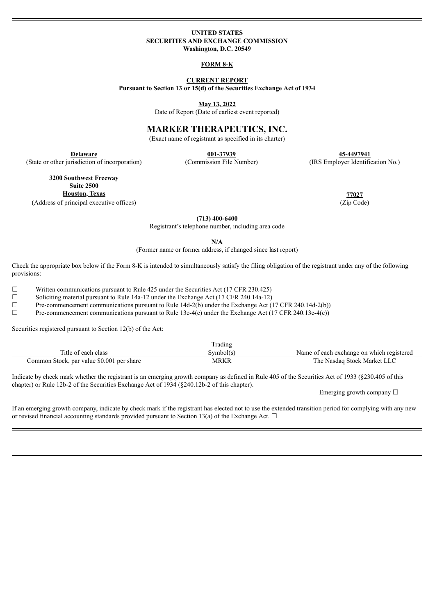#### **UNITED STATES SECURITIES AND EXCHANGE COMMISSION Washington, D.C. 20549**

#### **FORM 8-K**

#### **CURRENT REPORT**

**Pursuant to Section 13 or 15(d) of the Securities Exchange Act of 1934**

**May 13, 2022**

Date of Report (Date of earliest event reported)

# **MARKER THERAPEUTICS, INC.**

(Exact name of registrant as specified in its charter)

**Delaware 001-37939 45-4497941** (State or other jurisdiction of incorporation) (Commission File Number) (IRS Employer Identification No.)

**3200 Southwest Freeway Suite 2500 Houston, Texas 77027**

(Address of principal executive offices) (Zip Code)

**(713) 400-6400**

Registrant's telephone number, including area code

**N/A**

(Former name or former address, if changed since last report)

Check the appropriate box below if the Form 8-K is intended to simultaneously satisfy the filing obligation of the registrant under any of the following provisions:

 $\Box$  Written communications pursuant to Rule 425 under the Securities Act (17 CFR 230.425)

 $\Box$  Soliciting material pursuant to Rule 14a-12 under the Exchange Act (17 CFR 240.14a-12)

 $\Box$  Pre-commencement communications pursuant to Rule 14d-2(b) under the Exchange Act (17 CFR 240.14d-2(b))

☐ Pre-commencement communications pursuant to Rule 13e-4(c) under the Exchange Act (17 CFR 240.13e-4(c))

Securities registered pursuant to Section 12(b) of the Act:

|                                           | Trading   |                                           |
|-------------------------------------------|-----------|-------------------------------------------|
| Title of each class                       | Symbol(s` | Name of each exchange on which registered |
| Common Stock, par value \$0.001 per share | MRKR      | The Nasdag Stock Market LLC               |

Indicate by check mark whether the registrant is an emerging growth company as defined in Rule 405 of the Securities Act of 1933 (§230.405 of this chapter) or Rule 12b-2 of the Securities Exchange Act of 1934 (§240.12b-2 of this chapter).

Emerging growth company  $\Box$ 

If an emerging growth company, indicate by check mark if the registrant has elected not to use the extended transition period for complying with any new or revised financial accounting standards provided pursuant to Section 13(a) of the Exchange Act.  $\Box$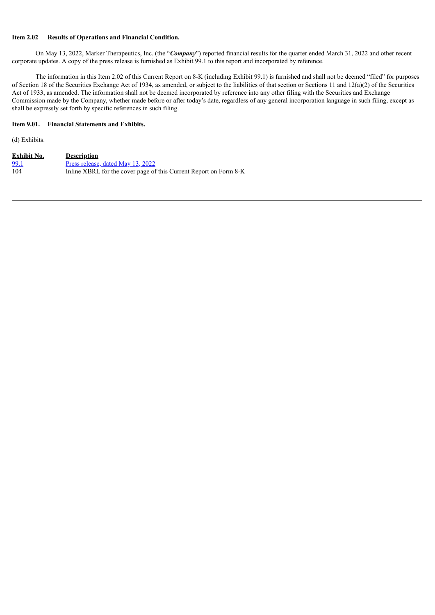### **Item 2.02 Results of Operations and Financial Condition.**

On May 13, 2022, Marker Therapeutics, Inc. (the "*Company*") reported financial results for the quarter ended March 31, 2022 and other recent corporate updates. A copy of the press release is furnished as Exhibit 99.1 to this report and incorporated by reference.

The information in this Item 2.02 of this Current Report on 8-K (including Exhibit 99.1) is furnished and shall not be deemed "filed" for purposes of Section 18 of the Securities Exchange Act of 1934, as amended, or subject to the liabilities of that section or Sections 11 and 12(a)(2) of the Securities Act of 1933, as amended. The information shall not be deemed incorporated by reference into any other filing with the Securities and Exchange Commission made by the Company, whether made before or after today's date, regardless of any general incorporation language in such filing, except as shall be expressly set forth by specific references in such filing.

# **Item 9.01. Financial Statements and Exhibits.**

(d) Exhibits.

| <b>Exhibit No.</b> | <b>Description</b>                                                |
|--------------------|-------------------------------------------------------------------|
| 99.1               | <u>Press release, dated May 13, 2022</u>                          |
| 104                | Inline XBRL for the cover page of this Current Report on Form 8-K |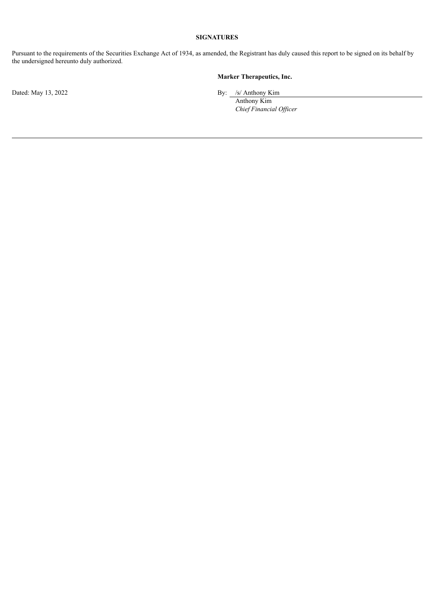# **SIGNATURES**

Pursuant to the requirements of the Securities Exchange Act of 1934, as amended, the Registrant has duly caused this report to be signed on its behalf by the undersigned hereunto duly authorized.

# **Marker Therapeutics, Inc.**

Dated: May 13, 2022 By: /s/ Anthony Kim

Anthony Kim *Chief Financial Of icer*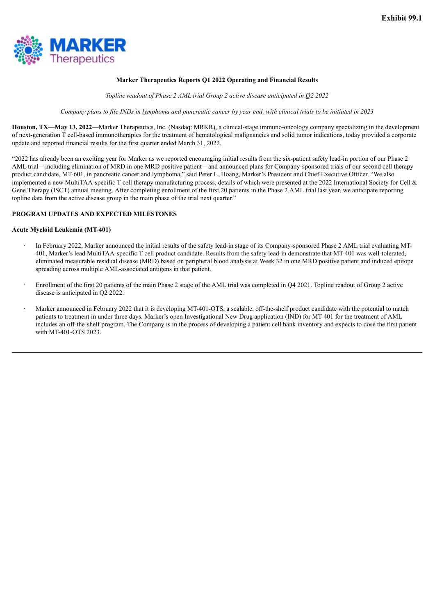<span id="page-3-0"></span>

### **Marker Therapeutics Reports Q1 2022 Operating and Financial Results**

*Topline readout of Phase 2 AML trial Group 2 active disease anticipated in Q2 2022*

Company plans to file INDs in lymphoma and pancreatic cancer by year end, with clinical trials to be initiated in 2023

**Houston, TX—May 13, 2022—**Marker Therapeutics, Inc. (Nasdaq: MRKR), a clinical-stage immuno-oncology company specializing in the development of next-generation T cell-based immunotherapies for the treatment of hematological malignancies and solid tumor indications, today provided a corporate update and reported financial results for the first quarter ended March 31, 2022.

"2022 has already been an exciting year for Marker as we reported encouraging initial results from the six-patient safety lead-in portion of our Phase 2 AML trial—including elimination of MRD in one MRD positive patient—and announced plans for Company-sponsored trials of our second cell therapy product candidate, MT-601, in pancreatic cancer and lymphoma," said Peter L. Hoang, Marker's President and Chief Executive Officer. "We also implemented a new MultiTAA-specific T cell therapy manufacturing process, details of which were presented at the 2022 International Society for Cell & Gene Therapy (ISCT) annual meeting. After completing enrollment of the first 20 patients in the Phase 2 AML trial last year, we anticipate reporting topline data from the active disease group in the main phase of the trial next quarter."

### **PROGRAM UPDATES AND EXPECTED MILESTONES**

#### **Acute Myeloid Leukemia (MT-401)**

- · In February 2022, Marker announced the initial results of the safety lead-in stage of its Company-sponsored Phase 2 AML trial evaluating MT-401, Marker's lead MultiTAA-specific T cell product candidate. Results from the safety lead-in demonstrate that MT-401 was well-tolerated, eliminated measurable residual disease (MRD) based on peripheral blood analysis at Week 32 in one MRD positive patient and induced epitope spreading across multiple AML-associated antigens in that patient.
- Enrollment of the first 20 patients of the main Phase 2 stage of the AML trial was completed in O4 2021. Topline readout of Group 2 active disease is anticipated in Q2 2022.
- Marker announced in February 2022 that it is developing MT-401-OTS, a scalable, off-the-shelf product candidate with the potential to match patients to treatment in under three days. Marker's open Investigational New Drug application (IND) for MT-401 for the treatment of AML includes an off-the-shelf program. The Company is in the process of developing a patient cell bank inventory and expects to dose the first patient with MT-401-OTS 2023.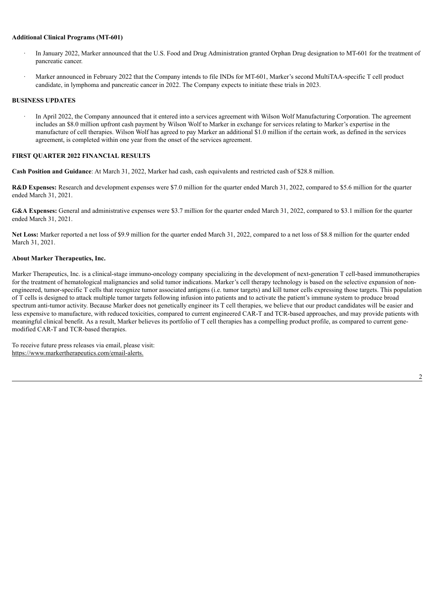#### **Additional Clinical Programs (MT-601)**

- · In January 2022, Marker announced that the U.S. Food and Drug Administration granted Orphan Drug designation to MT-601 for the treatment of pancreatic cancer.
- · Marker announced in February 2022 that the Company intends to file INDs for MT-601, Marker's second MultiTAA-specific T cell product candidate, in lymphoma and pancreatic cancer in 2022. The Company expects to initiate these trials in 2023.

### **BUSINESS UPDATES**

In April 2022, the Company announced that it entered into a services agreement with Wilson Wolf Manufacturing Corporation. The agreement includes an \$8.0 million upfront cash payment by Wilson Wolf to Marker in exchange for services relating to Marker's expertise in the manufacture of cell therapies. Wilson Wolf has agreed to pay Marker an additional \$1.0 million if the certain work, as defined in the services agreement, is completed within one year from the onset of the services agreement.

#### **FIRST QUARTER 2022 FINANCIAL RESULTS**

**Cash Position and Guidance**: At March 31, 2022, Marker had cash, cash equivalents and restricted cash of \$28.8 million.

**R&D Expenses:** Research and development expenses were \$7.0 million for the quarter ended March 31, 2022, compared to \$5.6 million for the quarter ended March 31, 2021.

**G&A Expenses:** General and administrative expenses were \$3.7 million for the quarter ended March 31, 2022, compared to \$3.1 million for the quarter ended March 31, 2021.

**Net Loss:** Marker reported a net loss of \$9.9 million for the quarter ended March 31, 2022, compared to a net loss of \$8.8 million for the quarter ended March 31, 2021.

#### **About Marker Therapeutics, Inc.**

Marker Therapeutics, Inc. is a clinical-stage immuno-oncology company specializing in the development of next-generation T cell-based immunotherapies for the treatment of hematological malignancies and solid tumor indications. Marker's cell therapy technology is based on the selective expansion of nonengineered, tumor-specific T cells that recognize tumor associated antigens (i.e. tumor targets) and kill tumor cells expressing those targets. This population of T cells is designed to attack multiple tumor targets following infusion into patients and to activate the patient's immune system to produce broad spectrum anti-tumor activity. Because Marker does not genetically engineer its T cell therapies, we believe that our product candidates will be easier and less expensive to manufacture, with reduced toxicities, compared to current engineered CAR-T and TCR-based approaches, and may provide patients with meaningful clinical benefit. As a result, Marker believes its portfolio of T cell therapies has a compelling product profile, as compared to current genemodified CAR-T and TCR-based therapies.

To receive future press releases via email, please visit: https://www.markertherapeutics.com/email-alerts.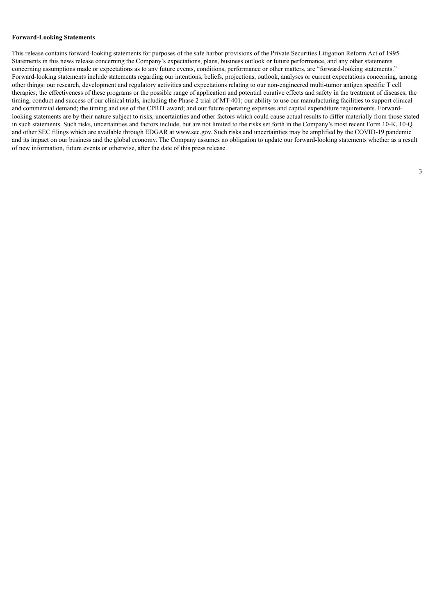#### **Forward-Looking Statements**

This release contains forward-looking statements for purposes of the safe harbor provisions of the Private Securities Litigation Reform Act of 1995. Statements in this news release concerning the Company's expectations, plans, business outlook or future performance, and any other statements concerning assumptions made or expectations as to any future events, conditions, performance or other matters, are "forward-looking statements." Forward-looking statements include statements regarding our intentions, beliefs, projections, outlook, analyses or current expectations concerning, among other things: our research, development and regulatory activities and expectations relating to our non-engineered multi-tumor antigen specific T cell therapies; the effectiveness of these programs or the possible range of application and potential curative effects and safety in the treatment of diseases; the timing, conduct and success of our clinical trials, including the Phase 2 trial of MT-401; our ability to use our manufacturing facilities to support clinical and commercial demand; the timing and use of the CPRIT award; and our future operating expenses and capital expenditure requirements. Forwardlooking statements are by their nature subject to risks, uncertainties and other factors which could cause actual results to differ materially from those stated in such statements. Such risks, uncertainties and factors include, but are not limited to the risks set forth in the Company's most recent Form 10-K, 10-Q and other SEC filings which are available through EDGAR at www.sec.gov. Such risks and uncertainties may be amplified by the COVID-19 pandemic and its impact on our business and the global economy. The Company assumes no obligation to update our forward-looking statements whether as a result of new information, future events or otherwise, after the date of this press release.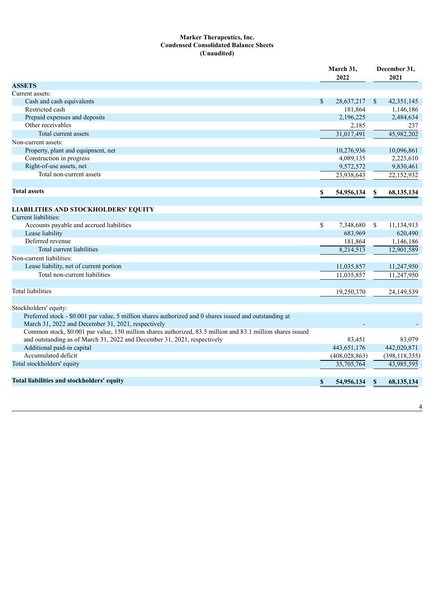## **Marker Therapeutics, Inc. Condensed Consolidated Balance Sheets (Unaudited)**

|                                                                                                                                                               |    | March 31,<br>2022 |               | December 31,<br>2021 |  |
|---------------------------------------------------------------------------------------------------------------------------------------------------------------|----|-------------------|---------------|----------------------|--|
| <b>ASSETS</b>                                                                                                                                                 |    |                   |               |                      |  |
| Current assets:                                                                                                                                               |    |                   |               |                      |  |
| Cash and cash equivalents                                                                                                                                     | \$ | 28,637,217        | $\mathcal{S}$ | 42,351,145           |  |
| Restricted cash                                                                                                                                               |    | 181,864           |               | 1,146,186            |  |
| Prepaid expenses and deposits                                                                                                                                 |    | 2,196,225         |               | 2,484,634            |  |
| Other receivables                                                                                                                                             |    | 2,185             |               | 237                  |  |
| Total current assets                                                                                                                                          |    | 31,017,491        |               | 45,982,202           |  |
| Non-current assets:                                                                                                                                           |    |                   |               |                      |  |
| Property, plant and equipment, net                                                                                                                            |    | 10,276,936        |               | 10,096,861           |  |
| Construction in progress                                                                                                                                      |    | 4,089,135         |               | 2,225,610            |  |
| Right-of-use assets, net                                                                                                                                      |    | 9,572,572         |               | 9,830,461            |  |
| Total non-current assets                                                                                                                                      |    | 23,938,643        |               | 22,152,932           |  |
| <b>Total assets</b>                                                                                                                                           | \$ | 54,956,134        | \$            | 68, 135, 134         |  |
| <b>LIABILITIES AND STOCKHOLDERS' EQUITY</b>                                                                                                                   |    |                   |               |                      |  |
| Current liabilities:                                                                                                                                          |    |                   |               |                      |  |
| Accounts payable and accrued liabilities                                                                                                                      | \$ | 7,348,680         | <sup>\$</sup> | 11,134,913           |  |
| Lease liability                                                                                                                                               |    | 683,969           |               | 620,490              |  |
| Deferred revenue                                                                                                                                              |    | 181,864           |               | 1,146,186            |  |
| Total current liabilities                                                                                                                                     |    | 8,214,513         |               | 12,901,589           |  |
| Non-current liabilities:                                                                                                                                      |    |                   |               |                      |  |
| Lease liability, net of current portion                                                                                                                       |    | 11,035,857        |               | 11,247,950           |  |
| Total non-current liabilities                                                                                                                                 |    | 11,035,857        |               | 11,247,950           |  |
|                                                                                                                                                               |    |                   |               |                      |  |
| <b>Total liabilities</b>                                                                                                                                      |    | 19,250,370        |               | 24,149,539           |  |
| Stockholders' equity:                                                                                                                                         |    |                   |               |                      |  |
| Preferred stock - \$0.001 par value, 5 million shares authorized and 0 shares issued and outstanding at<br>March 31, 2022 and December 31, 2021, respectively |    |                   |               |                      |  |
| Common stock, \$0.001 par value, 150 million shares authorized, 83.5 million and 83.1 million shares issued                                                   |    |                   |               |                      |  |
| and outstanding as of March 31, 2022 and December 31, 2021, respectively                                                                                      |    | 83,451            |               | 83.079               |  |
| Additional paid-in capital                                                                                                                                    |    | 443,651,176       |               | 442,020,871          |  |
| Accumulated deficit                                                                                                                                           |    | (408, 028, 863)   |               | (398, 118, 355)      |  |
| Total stockholders' equity                                                                                                                                    |    | 35,705,764        |               | 43,985,595           |  |
| Total liabilities and stockholders' equity                                                                                                                    | \$ | 54,956,134        | \$            | 68,135,134           |  |

4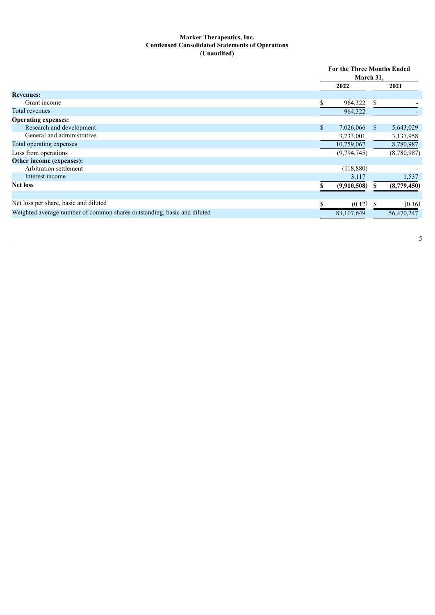### **Marker Therapeutics, Inc. Condensed Consolidated Statements of Operations (Unaudited)**

|                                                                         | <b>For the Three Months Ended</b> |             |               |             |
|-------------------------------------------------------------------------|-----------------------------------|-------------|---------------|-------------|
|                                                                         | March 31,                         |             |               |             |
|                                                                         |                                   | 2022        |               | 2021        |
| <b>Revenues:</b>                                                        |                                   |             |               |             |
| Grant income                                                            | \$                                | 964,322     | S.            |             |
| Total revenues                                                          |                                   | 964,322     |               |             |
| <b>Operating expenses:</b>                                              |                                   |             |               |             |
| Research and development                                                | \$                                | 7,026,066   | <sup>S</sup>  | 5,643,029   |
| General and administrative                                              |                                   | 3,733,001   |               | 3,137,958   |
| Total operating expenses                                                |                                   | 10,759,067  |               | 8,780,987   |
| Loss from operations                                                    |                                   | (9,794,745) |               | (8,780,987) |
| Other income (expenses):                                                |                                   |             |               |             |
| Arbitration settlement                                                  |                                   | (118, 880)  |               |             |
| Interest income                                                         |                                   | 3,117       |               | 1,537       |
| <b>Net loss</b>                                                         |                                   | (9,910,508) | S             | (8,779,450) |
|                                                                         |                                   |             |               |             |
| Net loss per share, basic and diluted                                   |                                   | (0.12)      | <sup>\$</sup> | (0.16)      |
| Weighted average number of common shares outstanding, basic and diluted |                                   | 83,107,649  |               | 56,470,247  |